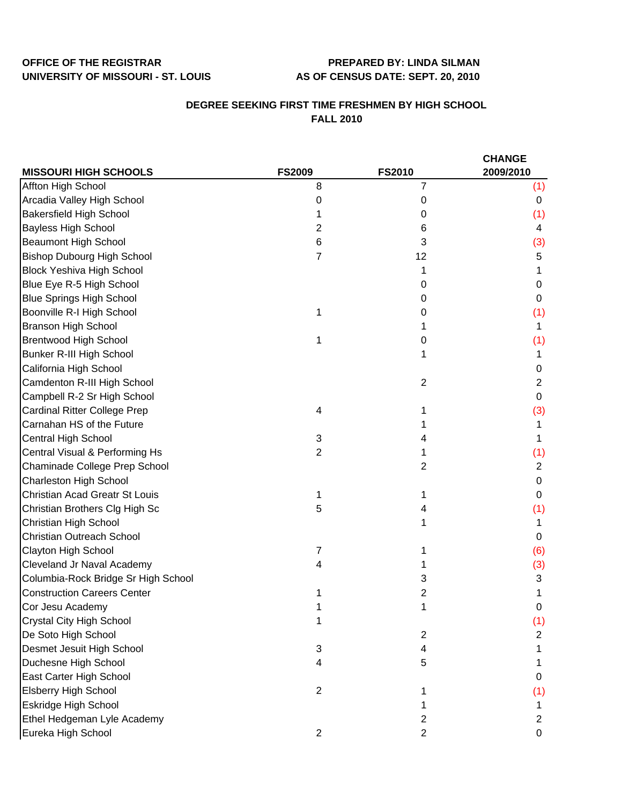## **OFFICE OF THE REGISTRAR PREPARED BY: LINDA SILMAN UNIVERSITY OF MISSOURI - ST. LOUIS AS OF CENSUS DATE: SEPT. 20, 2010**

## **DEGREE SEEKING FIRST TIME FRESHMEN BY HIGH SCHOOL FALL 2010**

|                                       |                |                | <b>CHANGE</b>  |
|---------------------------------------|----------------|----------------|----------------|
| <b>MISSOURI HIGH SCHOOLS</b>          | <b>FS2009</b>  | <b>FS2010</b>  | 2009/2010      |
| Affton High School                    | 8              | 7              | (1)            |
| Arcadia Valley High School            | 0              | 0              | 0              |
| <b>Bakersfield High School</b>        |                | 0              | (1)            |
| <b>Bayless High School</b>            | 2              | 6              | 4              |
| <b>Beaumont High School</b>           | 6              | 3              | (3)            |
| <b>Bishop Dubourg High School</b>     | $\overline{7}$ | 12             | 5              |
| <b>Block Yeshiva High School</b>      |                |                |                |
| Blue Eye R-5 High School              |                | 0              | 0              |
| <b>Blue Springs High School</b>       |                | 0              | 0              |
| Boonville R-I High School             | 1              | 0              | (1)            |
| <b>Branson High School</b>            |                |                | 1              |
| <b>Brentwood High School</b>          |                | 0              | (1)            |
| Bunker R-III High School              |                |                | 1              |
| California High School                |                |                | 0              |
| Camdenton R-III High School           |                | $\overline{2}$ | $\overline{c}$ |
| Campbell R-2 Sr High School           |                |                | 0              |
| <b>Cardinal Ritter College Prep</b>   | 4              |                | (3)            |
| Carnahan HS of the Future             |                |                | 1              |
| Central High School                   | 3              | 4              | 1              |
| Central Visual & Performing Hs        | $\overline{2}$ |                | (1)            |
| Chaminade College Prep School         |                | 2              | $\overline{2}$ |
| Charleston High School                |                |                | 0              |
| <b>Christian Acad Greatr St Louis</b> | 1              |                | 0              |
| Christian Brothers Clg High Sc        | 5              | 4              | (1)            |
| Christian High School                 |                |                | 1              |
| <b>Christian Outreach School</b>      |                |                | 0              |
| Clayton High School                   | 7              |                | (6)            |
| Cleveland Jr Naval Academy            | 4              |                | (3)            |
| Columbia-Rock Bridge Sr High School   |                | 3              | 3              |
| <b>Construction Careers Center</b>    |                | 2              |                |
| Cor Jesu Academy                      |                |                | 0              |
| Crystal City High School              | 1              |                | (1)            |
| De Soto High School                   |                | 2              | 2              |
| Desmet Jesuit High School             | 3              | 4              |                |
| Duchesne High School                  | 4              | 5              |                |
| East Carter High School               |                |                | 0              |
| <b>Elsberry High School</b>           | $\overline{c}$ |                | (1)            |
| Eskridge High School                  |                |                |                |
| Ethel Hedgeman Lyle Academy           |                | 2              | 2              |
| Eureka High School                    | $\overline{c}$ | $\overline{2}$ | 0              |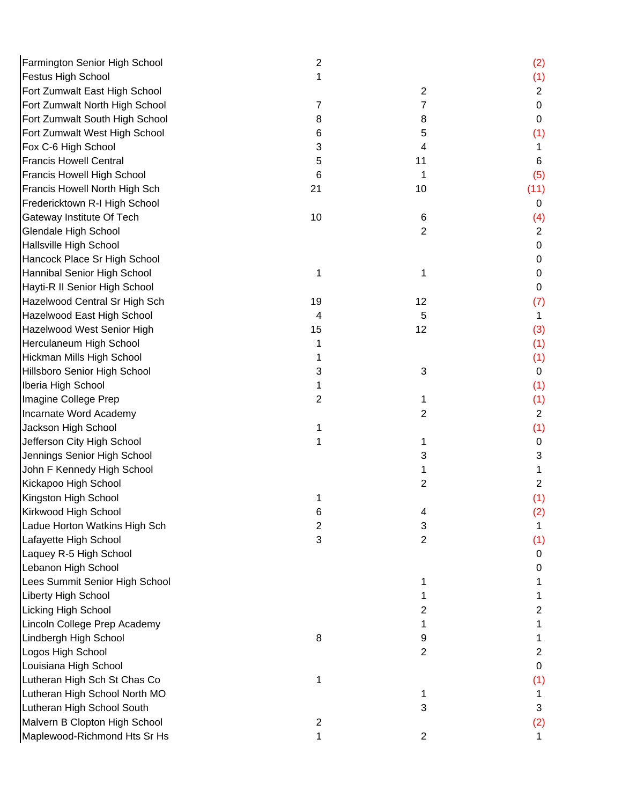| Farmington Senior High School  | $\overline{2}$            |                | (2)            |
|--------------------------------|---------------------------|----------------|----------------|
| <b>Festus High School</b>      | 1                         |                | (1)            |
| Fort Zumwalt East High School  |                           | $\overline{2}$ | $\overline{2}$ |
| Fort Zumwalt North High School | 7                         | 7              | 0              |
| Fort Zumwalt South High School | 8                         | 8              | 0              |
| Fort Zumwalt West High School  | 6                         | 5              | (1)            |
| Fox C-6 High School            | 3                         | 4              | 1              |
| <b>Francis Howell Central</b>  | 5                         | 11             | 6              |
| Francis Howell High School     | 6                         | 1              | (5)            |
| Francis Howell North High Sch  | 21                        | 10             | (11)           |
| Fredericktown R-I High School  |                           |                | 0              |
| Gateway Institute Of Tech      | 10                        | 6              | (4)            |
| <b>Glendale High School</b>    |                           | $\overline{2}$ | $\overline{2}$ |
| Hallsville High School         |                           |                | 0              |
| Hancock Place Sr High School   |                           |                | 0              |
| Hannibal Senior High School    | 1                         | 1              | 0              |
| Hayti-R II Senior High School  |                           |                | 0              |
| Hazelwood Central Sr High Sch  | 19                        | 12             | (7)            |
| Hazelwood East High School     | 4                         | 5              | 1              |
| Hazelwood West Senior High     | 15                        | 12             | (3)            |
| Herculaneum High School        | 1                         |                | (1)            |
| Hickman Mills High School      |                           |                | (1)            |
| Hillsboro Senior High School   | 3                         | 3              | 0              |
| Iberia High School             |                           |                | (1)            |
| Imagine College Prep           | 2                         | 1              | (1)            |
| Incarnate Word Academy         |                           | $\overline{2}$ | $\overline{2}$ |
| Jackson High School            |                           |                | (1)            |
| Jefferson City High School     | 1                         | 1              | 0              |
| Jennings Senior High School    |                           | 3              | 3              |
| John F Kennedy High School     |                           | 1              | 1              |
| Kickapoo High School           |                           | 2              | $\overline{2}$ |
| Kingston High School           |                           |                | (1)            |
| Kirkwood High School           | O                         | 4              | (2)            |
| Ladue Horton Watkins High Sch  | $\overline{2}$            | 3              | 1              |
| Lafayette High School          | $\ensuremath{\mathsf{3}}$ | $\overline{2}$ | (1)            |
| Laquey R-5 High School         |                           |                | 0              |
| Lebanon High School            |                           |                | 0              |
| Lees Summit Senior High School |                           | 1              |                |
| Liberty High School            |                           | 1              |                |
| <b>Licking High School</b>     |                           | 2              | 2              |
| Lincoln College Prep Academy   |                           | 1              | 1              |
| Lindbergh High School          | 8                         | 9              |                |
| Logos High School              |                           | $\overline{2}$ | $\overline{c}$ |
| Louisiana High School          |                           |                | 0              |
| Lutheran High Sch St Chas Co   | 1                         |                | (1)            |
| Lutheran High School North MO  |                           |                | 1              |
| Lutheran High School South     |                           | 3              | 3              |
| Malvern B Clopton High School  | $\overline{\mathbf{c}}$   |                | (2)            |
| Maplewood-Richmond Hts Sr Hs   | 1                         | $\overline{2}$ | $\mathbf 1$    |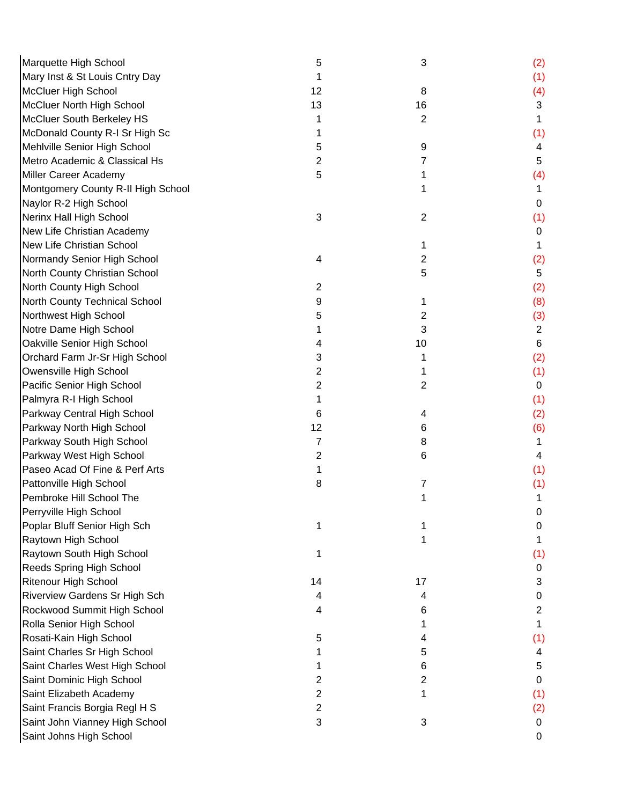| Marquette High School                | 5              | 3              | (2)            |
|--------------------------------------|----------------|----------------|----------------|
| Mary Inst & St Louis Cntry Day       |                |                | (1)            |
| <b>McCluer High School</b>           | 12             | 8              | (4)            |
| McCluer North High School            | 13             | 16             | 3              |
| McCluer South Berkeley HS            |                | $\overline{2}$ | 1              |
| McDonald County R-I Sr High Sc       |                |                | (1)            |
| Mehlville Senior High School         | 5              | 9              | 4              |
| Metro Academic & Classical Hs        | 2              | $\overline{7}$ | 5              |
| Miller Career Academy                | 5              | 1              | (4)            |
| Montgomery County R-II High School   |                | 1              | 1              |
| Naylor R-2 High School               |                |                | 0              |
| Nerinx Hall High School              | 3              | $\overline{2}$ | (1)            |
| New Life Christian Academy           |                |                | 0              |
| <b>New Life Christian School</b>     |                | 1              |                |
| Normandy Senior High School          | 4              | $\overline{2}$ | (2)            |
| North County Christian School        |                | 5              | 5              |
| North County High School             | $\overline{2}$ |                | (2)            |
| North County Technical School        | 9              | 1              | (8)            |
| Northwest High School                | 5              | 2              | (3)            |
| Notre Dame High School               |                | 3              | $\overline{2}$ |
| Oakville Senior High School          | 4              | 10             | 6              |
| Orchard Farm Jr-Sr High School       | 3              | 1              | (2)            |
| Owensville High School               | 2              | 1              | (1)            |
| Pacific Senior High School           | 2              | 2              | $\mathbf 0$    |
| Palmyra R-I High School              |                |                | (1)            |
| Parkway Central High School          | 6              | 4              | (2)            |
| Parkway North High School            | 12             | 6              | (6)            |
| Parkway South High School            | 7              | 8              | 1.             |
| Parkway West High School             | 2              | 6              | 4              |
| Paseo Acad Of Fine & Perf Arts       |                |                | (1)            |
| Pattonville High School              | 8              | 7              | (1)            |
| Pembroke Hill School The             |                | 1              | 1              |
| Perryville High School               |                |                | 0              |
| Poplar Bluff Senior High Sch         |                |                | 0              |
| Raytown High School                  |                |                |                |
| Raytown South High School            |                |                | (1)            |
| Reeds Spring High School             |                |                | 0              |
| <b>Ritenour High School</b>          | 14             | 17             | 3              |
| <b>Riverview Gardens Sr High Sch</b> | 4              | 4              | 0              |
| Rockwood Summit High School          | 4              | 6              | $\overline{2}$ |
| Rolla Senior High School             |                | 1              | 1              |
| Rosati-Kain High School              | 5              | 4              | (1)            |
| Saint Charles Sr High School         |                | 5              | 4              |
| Saint Charles West High School       |                | 6              | 5              |
| Saint Dominic High School            | 2              | $\overline{2}$ | 0              |
| Saint Elizabeth Academy              | 2              | 1              | (1)            |
| Saint Francis Borgia Regl H S        | 2              |                | (2)            |
| Saint John Vianney High School       | 3              | 3              | 0              |
| Saint Johns High School              |                |                | $\mathbf 0$    |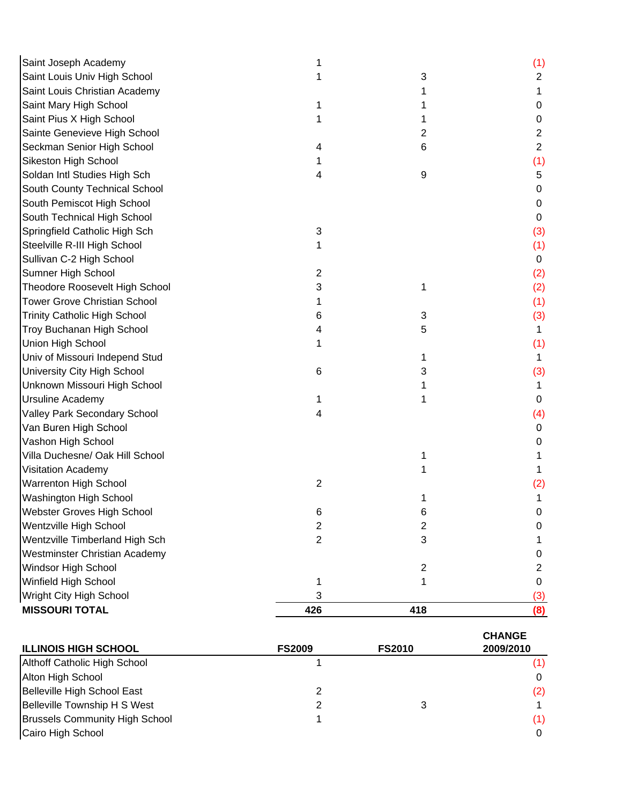| Saint Joseph Academy                |                |                | (1)            |
|-------------------------------------|----------------|----------------|----------------|
| Saint Louis Univ High School        |                | 3              | 2              |
| Saint Louis Christian Academy       |                |                | 1              |
| Saint Mary High School              |                |                | 0              |
| Saint Pius X High School            |                |                | 0              |
| Sainte Genevieve High School        |                | 2              | 2              |
| Seckman Senior High School          | 4              | 6              | $\overline{2}$ |
| Sikeston High School                |                |                | (1)            |
| Soldan Intl Studies High Sch        | 4              | 9              | 5              |
| South County Technical School       |                |                | 0              |
| South Pemiscot High School          |                |                | 0              |
| South Technical High School         |                |                | 0              |
| Springfield Catholic High Sch       | 3              |                | (3)            |
| Steelville R-III High School        |                |                | (1)            |
| Sullivan C-2 High School            |                |                | 0              |
| Sumner High School                  | 2              |                | (2)            |
| Theodore Roosevelt High School      | 3              | 1              | (2)            |
| <b>Tower Grove Christian School</b> |                |                | (1)            |
| <b>Trinity Catholic High School</b> | 6              | 3              | (3)            |
| <b>Troy Buchanan High School</b>    |                | 5              | 1              |
| Union High School                   |                |                | (1)            |
| Univ of Missouri Independ Stud      |                | 1              | 1              |
| University City High School         | 6              | 3              | (3)            |
| Unknown Missouri High School        |                |                | 1.             |
| <b>Ursuline Academy</b>             |                |                | 0              |
| Valley Park Secondary School        | 4              |                | (4)            |
| Van Buren High School               |                |                | 0              |
| Vashon High School                  |                |                | 0              |
| Villa Duchesne/ Oak Hill School     |                |                |                |
| Visitation Academy                  |                |                |                |
| <b>Warrenton High School</b>        | $\overline{2}$ |                | (2)            |
| Washington High School              |                |                |                |
| Webster Groves High School          | 6              | 6              | 0.             |
| Wentzville High School              | $\overline{c}$ | $\overline{2}$ | 0              |
| Wentzville Timberland High Sch      | $\overline{2}$ | 3              | 1              |
| Westminster Christian Academy       |                |                | 0              |
| Windsor High School                 |                | $\overline{c}$ | 2              |
| Winfield High School                | 1              |                | 0              |
| Wright City High School             | 3              |                | (3)            |
| <b>MISSOURI TOTAL</b>               | 426            | 418            | (8)            |

|                                       |               |               | <b>CHANGE</b> |
|---------------------------------------|---------------|---------------|---------------|
| <b>ILLINOIS HIGH SCHOOL</b>           | <b>FS2009</b> | <b>FS2010</b> | 2009/2010     |
| Althoff Catholic High School          |               |               | (1)           |
| Alton High School                     |               |               | 0             |
| Belleville High School East           |               |               | (2)           |
| Belleville Township H S West          |               |               |               |
| <b>Brussels Community High School</b> |               |               | (1)           |
| Cairo High School                     |               |               | 0             |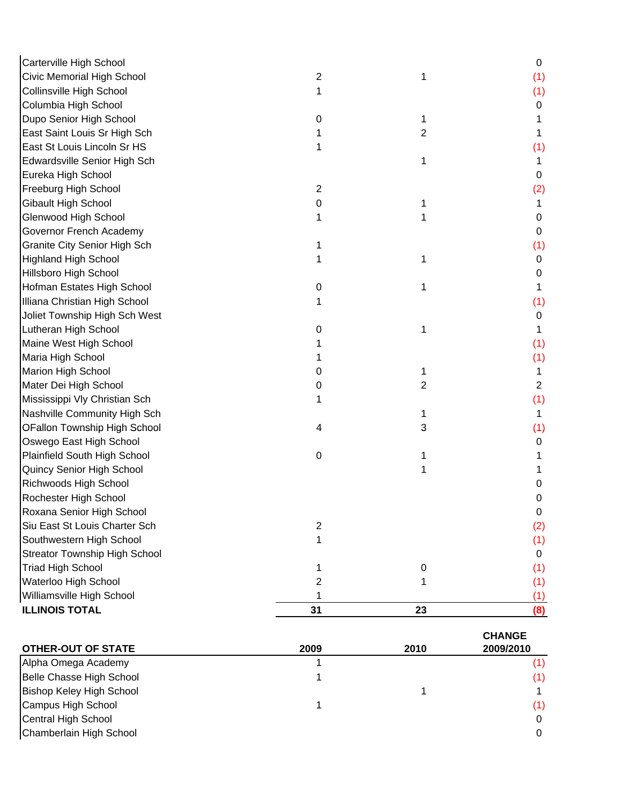| Carterville High School              |                  |    | 0              |
|--------------------------------------|------------------|----|----------------|
| Civic Memorial High School           | 2                | 1  | (1)            |
| Collinsville High School             |                  |    | (1)            |
| Columbia High School                 |                  |    | 0              |
| Dupo Senior High School              | 0                | 1  |                |
| East Saint Louis Sr High Sch         |                  | 2  | 1              |
| East St Louis Lincoln Sr HS          |                  |    | (1)            |
| Edwardsville Senior High Sch         |                  | 1  |                |
| Eureka High School                   |                  |    | 0              |
| Freeburg High School                 | $\boldsymbol{2}$ |    | (2)            |
| Gibault High School                  | 0                | 1  | 1              |
| Glenwood High School                 |                  | 1  | 0              |
| Governor French Academy              |                  |    | 0              |
| <b>Granite City Senior High Sch</b>  |                  |    | (1)            |
| <b>Highland High School</b>          |                  | 1  | 0              |
| Hillsboro High School                |                  |    | 0              |
| Hofman Estates High School           | 0                | 1  | 1              |
| Illiana Christian High School        |                  |    | (1)            |
| Joliet Township High Sch West        |                  |    | 0              |
| Lutheran High School                 | 0                | 1  | 1              |
| Maine West High School               |                  |    | (1)            |
| Maria High School                    |                  |    | (1)            |
| Marion High School                   | 0                | 1  | 1              |
| Mater Dei High School                | 0                | 2  | $\overline{2}$ |
| Mississippi Vly Christian Sch        |                  |    | (1)            |
| Nashville Community High Sch         |                  | 1  | 1              |
| OFallon Township High School         | 4                | 3  | (1)            |
| Oswego East High School              |                  |    | 0              |
| Plainfield South High School         | $\pmb{0}$        | 1  |                |
| Quincy Senior High School            |                  |    |                |
| Richwoods High School                |                  |    | 0              |
| Rochester High School                |                  |    | 0              |
| Roxana Senior High School            |                  |    | 0              |
| Siu East St Louis Charter Sch        | $\mathbf 2$      |    | (2)            |
| Southwestern High School             | 1                |    | (1)            |
| <b>Streator Township High School</b> |                  |    | 0              |
| <b>Triad High School</b>             |                  | 0  | (1)            |
| Waterloo High School                 | 2                |    | (1)            |
| Williamsville High School            | 1                |    | (1)            |
| <b>ILLINOIS TOTAL</b>                | 31               | 23 | (8)            |
|                                      |                  |    |                |

|                                 |      |      | <b>CHANGE</b> |
|---------------------------------|------|------|---------------|
| <b>OTHER-OUT OF STATE</b>       | 2009 | 2010 | 2009/2010     |
| Alpha Omega Academy             |      |      | (1)           |
| Belle Chasse High School        |      |      | (1)           |
| <b>Bishop Keley High School</b> |      |      |               |
| Campus High School              |      |      | (1)           |
| Central High School             |      |      | 0             |
| Chamberlain High School         |      |      | $\Omega$      |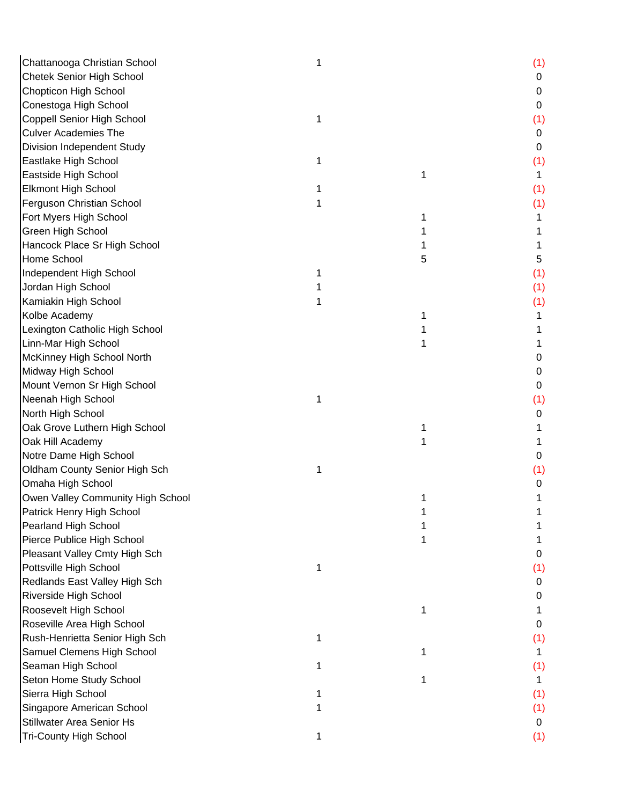| Chattanooga Christian School      |   |   | (1) |
|-----------------------------------|---|---|-----|
| <b>Chetek Senior High School</b>  |   |   | 0   |
| Chopticon High School             |   |   | 0   |
| Conestoga High School             |   |   | 0   |
| Coppell Senior High School        | 1 |   | (1) |
| <b>Culver Academies The</b>       |   |   | 0   |
| Division Independent Study        |   |   | 0   |
| Eastlake High School              | 1 |   | (1) |
| Eastside High School              |   | 1 | 1.  |
| <b>Elkmont High School</b>        |   |   | (1) |
| Ferguson Christian School         |   |   | (1) |
| Fort Myers High School            |   |   |     |
| <b>Green High School</b>          |   |   |     |
| Hancock Place Sr High School      |   |   |     |
| Home School                       |   | 5 | 5   |
| Independent High School           |   |   | (1) |
| Jordan High School                |   |   | (1) |
| Kamiakin High School              |   |   | (1) |
| Kolbe Academy                     |   |   |     |
| Lexington Catholic High School    |   |   |     |
| Linn-Mar High School              |   |   |     |
| McKinney High School North        |   |   | 0   |
| Midway High School                |   |   | 0   |
| Mount Vernon Sr High School       |   |   | 0   |
| Neenah High School                | 1 |   | (1) |
| North High School                 |   |   | 0   |
| Oak Grove Luthern High School     |   |   |     |
| Oak Hill Academy                  |   |   |     |
| Notre Dame High School            |   |   | 0   |
| Oldham County Senior High Sch     | 1 |   | (1) |
| Omaha High School                 |   |   | 0   |
| Owen Valley Community High School |   |   |     |
| Patrick Henry High School         |   |   |     |
| Pearland High School              |   |   |     |
| Pierce Publice High School        |   |   |     |
| Pleasant Valley Cmty High Sch     |   |   | 0   |
| Pottsville High School            |   |   | (1) |
| Redlands East Valley High Sch     |   |   | 0   |
| Riverside High School             |   |   | 0   |
| Roosevelt High School             |   | 1 |     |
| Roseville Area High School        |   |   | O   |
| Rush-Henrietta Senior High Sch    | 1 |   | (1) |
| Samuel Clemens High School        |   |   |     |
| Seaman High School                |   |   | (1) |
| Seton Home Study School           |   |   | 1   |
| Sierra High School                |   |   | (1) |
| Singapore American School         |   |   | (1) |
| Stillwater Area Senior Hs         |   |   | 0   |
| <b>Tri-County High School</b>     | 1 |   | (1) |